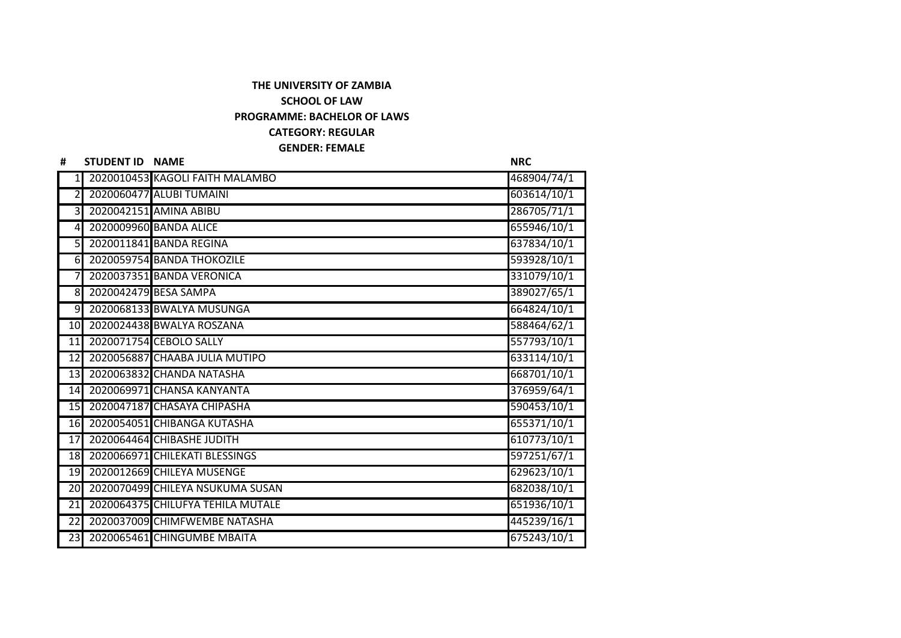## **THE UNIVERSITY OF ZAMBIA SCHOOL OF LAW PROGRAMME: BACHELOR OF LAWS CATEGORY: REGULAR GENDER: FEMALE**

| #               | <b>STUDENT ID NAME</b> |                                   | <b>NRC</b>  |
|-----------------|------------------------|-----------------------------------|-------------|
| 1               |                        | 2020010453 KAGOLI FAITH MALAMBO   | 468904/74/1 |
| 2               |                        | 2020060477 ALUBI TUMAINI          | 603614/10/1 |
| 3               |                        | 2020042151 AMINA ABIBU            | 286705/71/1 |
| $\overline{4}$  |                        | 2020009960 BANDA ALICE            | 655946/10/1 |
| 5 <sub>l</sub>  |                        | 2020011841 BANDA REGINA           | 637834/10/1 |
| 6I              |                        | 2020059754 BANDA THOKOZILE        | 593928/10/1 |
|                 |                        | 2020037351 BANDA VERONICA         | 331079/10/1 |
| 8 <sup>l</sup>  |                        | 2020042479 BESA SAMPA             | 389027/65/1 |
| $\overline{9}$  |                        | 2020068133 BWALYA MUSUNGA         | 664824/10/1 |
| 10              |                        | 2020024438 BWALYA ROSZANA         | 588464/62/1 |
| $\overline{11}$ |                        | 2020071754 CEBOLO SALLY           | 557793/10/1 |
| 12              |                        | 2020056887 CHAABA JULIA MUTIPO    | 633114/10/1 |
| 13              |                        | 2020063832 CHANDA NATASHA         | 668701/10/1 |
| 14              |                        | 2020069971 CHANSA KANYANTA        | 376959/64/1 |
| 15              |                        | 2020047187 CHASAYA CHIPASHA       | 590453/10/1 |
| 16              |                        | 2020054051 CHIBANGA KUTASHA       | 655371/10/1 |
| 17              |                        | 2020064464 CHIBASHE JUDITH        | 610773/10/1 |
| 18              |                        | 2020066971 CHILEKATI BLESSINGS    | 597251/67/1 |
| 19              |                        | 2020012669 CHILEYA MUSENGE        | 629623/10/1 |
| 20              |                        | 2020070499 CHILEYA NSUKUMA SUSAN  | 682038/10/1 |
| 21              |                        | 2020064375 CHILUFYA TEHILA MUTALE | 651936/10/1 |
| $\overline{22}$ |                        | 2020037009 CHIMFWEMBE NATASHA     | 445239/16/1 |
| 23 <sub>l</sub> |                        | 2020065461 CHINGUMBE MBAITA       | 675243/10/1 |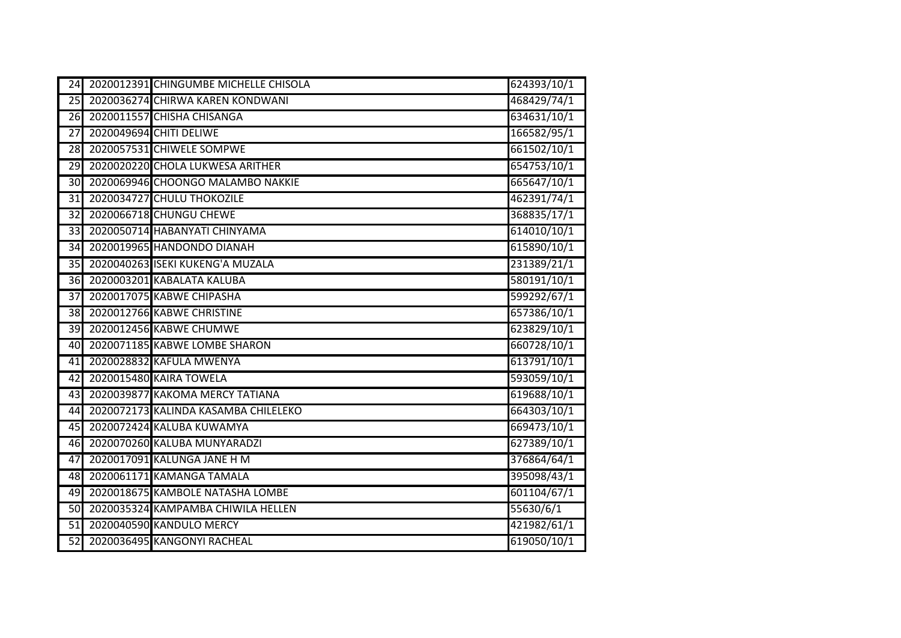| 24              | 2020012391 CHINGUMBE MICHELLE CHISOLA | 624393/10/1 |
|-----------------|---------------------------------------|-------------|
| 25              | 2020036274 CHIRWA KAREN KONDWANI      | 468429/74/1 |
| 26              | 2020011557 CHISHA CHISANGA            | 634631/10/1 |
| 27              | 2020049694 CHITI DELIWE               | 166582/95/1 |
| 28              | 2020057531 CHIWELE SOMPWE             | 661502/10/1 |
| $\overline{29}$ | 2020020220 CHOLA LUKWESA ARITHER      | 654753/10/1 |
| 30              | 2020069946 CHOONGO MALAMBO NAKKIE     | 665647/10/1 |
| $\overline{31}$ | 2020034727 CHULU THOKOZILE            | 462391/74/1 |
| $\overline{32}$ | 2020066718 CHUNGU CHEWE               | 368835/17/1 |
| $\overline{33}$ | 2020050714 HABANYATI CHINYAMA         | 614010/10/1 |
| 34              | 2020019965 HANDONDO DIANAH            | 615890/10/1 |
| 35              | 2020040263 ISEKI KUKENG'A MUZALA      | 231389/21/1 |
| 36              | 2020003201 KABALATA KALUBA            | 580191/10/1 |
| 37              | 2020017075 KABWE CHIPASHA             | 599292/67/1 |
| 38              | 2020012766 KABWE CHRISTINE            | 657386/10/1 |
| 39              | 2020012456 KABWE CHUMWE               | 623829/10/1 |
| 40              | 2020071185 KABWE LOMBE SHARON         | 660728/10/1 |
| 41              | 2020028832 KAFULA MWENYA              | 613791/10/1 |
| $\overline{42}$ | 2020015480 KAIRA TOWELA               | 593059/10/1 |
| 43              | 2020039877 KAKOMA MERCY TATIANA       | 619688/10/1 |
| 44              | 2020072173 KALINDA KASAMBA CHILELEKO  | 664303/10/1 |
| 45              | 2020072424 KALUBA KUWAMYA             | 669473/10/1 |
| 46              | 2020070260 KALUBA MUNYARADZI          | 627389/10/1 |
| 47              | 2020017091 KALUNGA JANE H M           | 376864/64/1 |
| 48              | 2020061171 KAMANGA TAMALA             | 395098/43/1 |
| 49              | 2020018675 KAMBOLE NATASHA LOMBE      | 601104/67/1 |
| $\overline{50}$ | 2020035324 KAMPAMBA CHIWILA HELLEN    | 55630/6/1   |
| $\overline{51}$ | 2020040590 KANDULO MERCY              | 421982/61/1 |
| $\overline{52}$ | 2020036495 KANGONYI RACHEAL           | 619050/10/1 |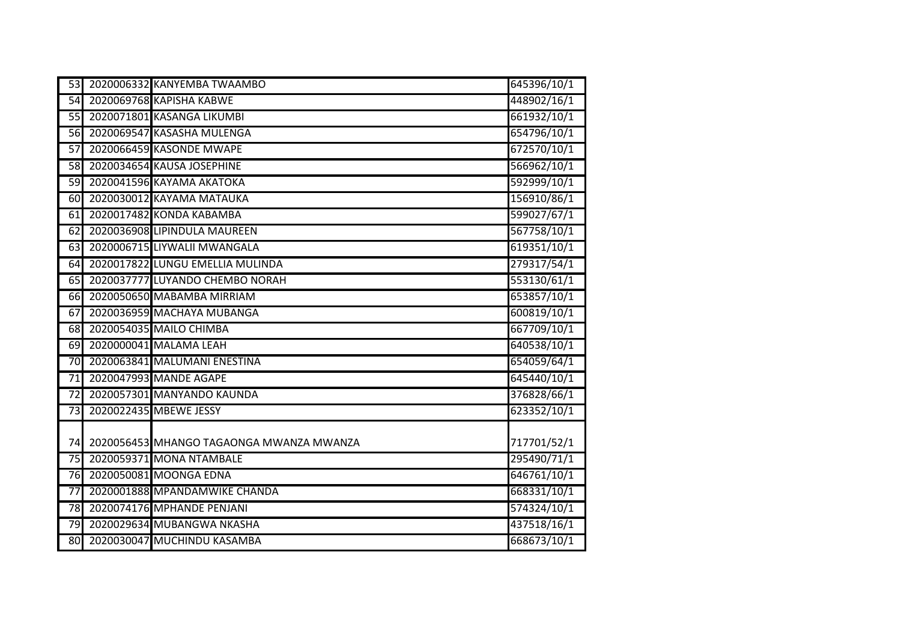| 53              | 2020006332 KANYEMBA TWAAMBO              | 645396/10/1 |
|-----------------|------------------------------------------|-------------|
| 54              | 2020069768 KAPISHA KABWE                 | 448902/16/1 |
| 55              | 2020071801 KASANGA LIKUMBI               | 661932/10/1 |
| 56              | 2020069547 KASASHA MULENGA               | 654796/10/1 |
| $\overline{57}$ | 2020066459 KASONDE MWAPE                 | 672570/10/1 |
| $\overline{58}$ | 2020034654 KAUSA JOSEPHINE               | 566962/10/1 |
| 59              | 2020041596 KAYAMA AKATOKA                | 592999/10/1 |
| 60              | 2020030012 KAYAMA MATAUKA                | 156910/86/1 |
| 61              | 2020017482 KONDA KABAMBA                 | 599027/67/1 |
| 62              | 2020036908 LIPINDULA MAUREEN             | 567758/10/1 |
| 63              | 2020006715 LIYWALII MWANGALA             | 619351/10/1 |
| 64              | 2020017822 LUNGU EMELLIA MULINDA         | 279317/54/1 |
| 65              | 2020037777 LUYANDO CHEMBO NORAH          | 553130/61/1 |
| 66              | 2020050650 MABAMBA MIRRIAM               | 653857/10/1 |
| 67              | 2020036959 MACHAYA MUBANGA               | 600819/10/1 |
| 68              | 2020054035 MAILO CHIMBA                  | 667709/10/1 |
| 69              | 2020000041 MALAMA LEAH                   | 640538/10/1 |
| $\overline{70}$ | 2020063841 MALUMANI ENESTINA             | 654059/64/1 |
| $\overline{71}$ | 2020047993 MANDE AGAPE                   | 645440/10/1 |
| $\overline{72}$ | 2020057301 MANYANDO KAUNDA               | 376828/66/1 |
| $\overline{73}$ | 2020022435 MBEWE JESSY                   | 623352/10/1 |
|                 |                                          |             |
| 74              | 2020056453 MHANGO TAGAONGA MWANZA MWANZA | 717701/52/1 |
| $\overline{75}$ | 2020059371 MONA NTAMBALE                 | 295490/71/1 |
| 76              | 2020050081 MOONGA EDNA                   | 646761/10/1 |
| $\overline{77}$ | 2020001888 MPANDAMWIKE CHANDA            | 668331/10/1 |
| $\overline{78}$ | 2020074176 MPHANDE PENJANI               | 574324/10/1 |
| 79              | 2020029634 MUBANGWA NKASHA               | 437518/16/1 |
| 80              | 2020030047 MUCHINDU KASAMBA              | 668673/10/1 |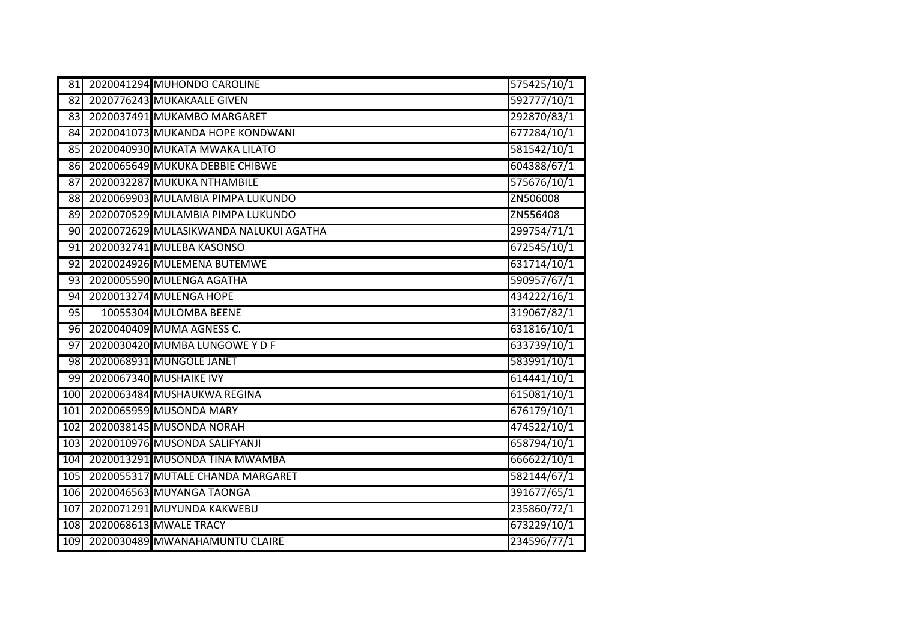| 81              | 2020041294 MUHONDO CAROLINE            | 575425/10/1 |
|-----------------|----------------------------------------|-------------|
| 82              | 2020776243 MUKAKAALE GIVEN             | 592777/10/1 |
| 83              | 2020037491 MUKAMBO MARGARET            | 292870/83/1 |
| 84              | 2020041073 MUKANDA HOPE KONDWANI       | 677284/10/1 |
| 85              | 2020040930 MUKATA MWAKA LILATO         | 581542/10/1 |
| 86              | 2020065649 MUKUKA DEBBIE CHIBWE        | 604388/67/1 |
| 87              | 2020032287 MUKUKA NTHAMBILE            | 575676/10/1 |
| 88              | 2020069903 MULAMBIA PIMPA LUKUNDO      | ZN506008    |
| 89              | 2020070529 MULAMBIA PIMPA LUKUNDO      | ZN556408    |
| $\overline{90}$ | 2020072629 MULASIKWANDA NALUKUI AGATHA | 299754/71/1 |
| 91              | 2020032741 MULEBA KASONSO              | 672545/10/1 |
| 92              | 2020024926 MULEMENA BUTEMWE            | 631714/10/1 |
| 93              | 2020005590 MULENGA AGATHA              | 590957/67/1 |
| 94              | 2020013274 MULENGA HOPE                | 434222/16/1 |
| 95              | 10055304 MULOMBA BEENE                 | 319067/82/1 |
| 96              | 2020040409 MUMA AGNESS C.              | 631816/10/1 |
| $\overline{97}$ | 2020030420 MUMBA LUNGOWE Y D F         | 633739/10/1 |
| 98              | 2020068931 MUNGOLE JANET               | 583991/10/1 |
| 99              | 2020067340 MUSHAIKE IVY                | 614441/10/1 |
| 100             | 2020063484 MUSHAUKWA REGINA            | 615081/10/1 |
| 101             | 2020065959 MUSONDA MARY                | 676179/10/1 |
| 102             | 2020038145 MUSONDA NORAH               | 474522/10/1 |
| 103             | 2020010976 MUSONDA SALIFYANJI          | 658794/10/1 |
| 104             | 2020013291 MUSONDA TINA MWAMBA         | 666622/10/1 |
| 105             | 2020055317 MUTALE CHANDA MARGARET      | 582144/67/1 |
| 106             | 2020046563 MUYANGA TAONGA              | 391677/65/1 |
| 107             | 2020071291 MUYUNDA KAKWEBU             | 235860/72/1 |
| 108             | 2020068613 MWALE TRACY                 | 673229/10/1 |
| 109             | 2020030489 MWANAHAMUNTU CLAIRE         | 234596/77/1 |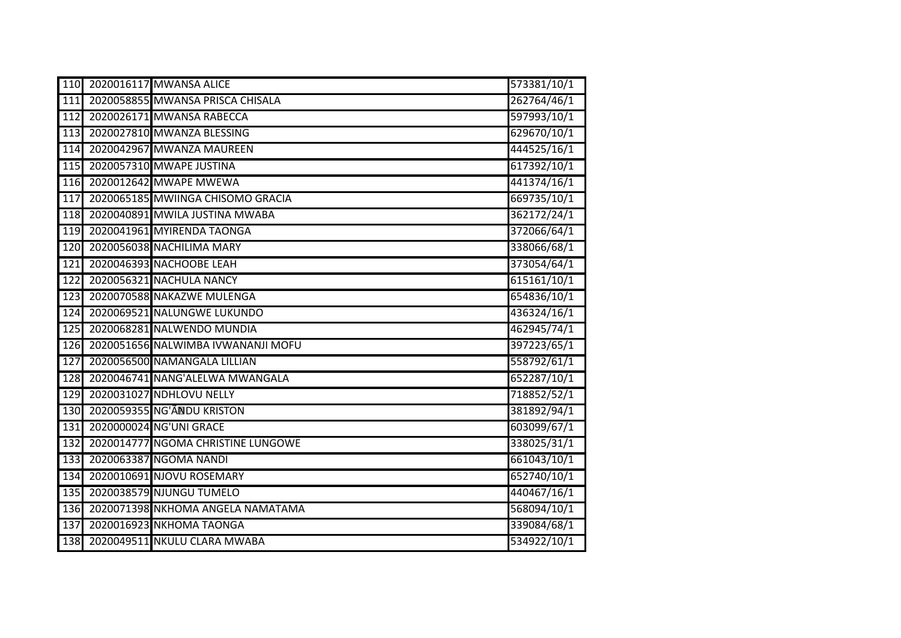|                  | 110 2020016117 MWANSA ALICE            | 573381/10/1 |
|------------------|----------------------------------------|-------------|
| 111              | 2020058855 MWANSA PRISCA CHISALA       | 262764/46/1 |
| 112              | 2020026171 MWANSA RABECCA              | 597993/10/1 |
| 113              | 2020027810 MWANZA BLESSING             | 629670/10/1 |
|                  | 114 2020042967 MWANZA MAUREEN          | 444525/16/1 |
| 115              | 2020057310 MWAPE JUSTINA               | 617392/10/1 |
|                  | 116 2020012642 MWAPE MWEWA             | 441374/16/1 |
| $\overline{117}$ | 2020065185 MWIINGA CHISOMO GRACIA      | 669735/10/1 |
|                  | 118 2020040891 MWILA JUSTINA MWABA     | 362172/24/1 |
|                  | 119 2020041961 MYIRENDA TAONGA         | 372066/64/1 |
| 120              | 2020056038 NACHILIMA MARY              | 338066/68/1 |
|                  | 121 2020046393 NACHOOBE LEAH           | 373054/64/1 |
| $\overline{122}$ | 2020056321 NACHULA NANCY               | 615161/10/1 |
| 123              | 2020070588 NAKAZWE MULENGA             | 654836/10/1 |
| $124$            | 2020069521 NALUNGWE LUKUNDO            | 436324/16/1 |
|                  | 125 2020068281 NALWENDO MUNDIA         | 462945/74/1 |
|                  | 126 2020051656 NALWIMBA IVWANANJI MOFU | 397223/65/1 |
| 127              | 2020056500 NAMANGALA LILLIAN           | 558792/61/1 |
|                  | 128 2020046741 NANG'ALELWA MWANGALA    | 652287/10/1 |
| 129              | 2020031027 NDHLOVU NELLY               | 718852/52/1 |
|                  | 130 2020059355 NG'ANDU KRISTON         | 381892/94/1 |
| 131              | 2020000024 NG'UNI GRACE                | 603099/67/1 |
| 132              | 2020014777 NGOMA CHRISTINE LUNGOWE     | 338025/31/1 |
| 133              | 2020063387 NGOMA NANDI                 | 661043/10/1 |
| 134              | 2020010691 NJOVU ROSEMARY              | 652740/10/1 |
|                  | 135 2020038579 NJUNGU TUMELO           | 440467/16/1 |
| 136              | 2020071398 NKHOMA ANGELA NAMATAMA      | 568094/10/1 |
| $\overline{137}$ | 2020016923 NKHOMA TAONGA               | 339084/68/1 |
| 138              | 2020049511 NKULU CLARA MWABA           | 534922/10/1 |